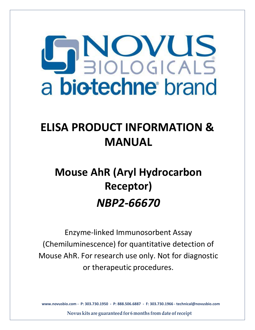# PEIOLOGICALS a biotechne brand

# **ELISA PRODUCT INFORMATION & MANUAL**

# **Mouse AhR (Aryl Hydrocarbon Receptor)** *NBP2-66670*

Enzyme-linked Immunosorbent Assay (Chemiluminescence) for quantitative detecti[on of](http://www.assaypro.com/) Mouse AhR. For research use only. Not for diagnostic [or thera](mailto:support@assaypro.com)peutic procedures.

**www.novusbio.com - P: 303.730.1950 - P: 888.506.6887 - F: 303.730.1966 - technical@novusbio.com**

**Novus kits are guaranteedfor 6 months from date ofreceipt**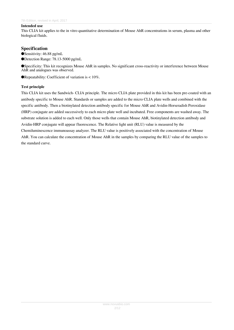#### **Intended use**

This CLIA kit applies to the in vitro quantitative determination of Mouse AhR concentrations in serum, plasma and other biological fluids.

# **Specification**

- ●Sensitivity: 46.88 pg/mL
- ●Detection Range: 78.13-5000 pg/mL

●Specificity: This kit recognizes Mouse AhR in samples. No significant cross-reactivity or interference between Mouse AhR and analogues was observed.

**• Repeatability:** Coefficient of variation is  $< 10\%$ .

## **Test principle**

This CLIA kit uses the Sandwich- CLIA principle. The micro CLIA plate provided in this kit has been pre-coated with an antibody specific to Mouse AhR. Standards or samples are added to the micro CLIA plate wells and combined with the specific antibody. Then a biotinylated detection antibody specific for Mouse AhR and Avidin-Horseradish Peroxidase (HRP) conjugate are added successively to each micro plate well and incubated. Free components are washed away. The substrate solution is added to each well. Only those wells that contain Mouse AhR, biotinylated detection antibody and Avidin-HRP conjugate will appear fluorescence. The Relative light unit (RLU) value is measured by the Chemiluminescence immunoassay analyzer. The RLU value is positively associated with the concentration of Mouse AhR. You can calculate the concentration of Mouse AhR in the samples by comparing the RLU value of the samples to the standard curve.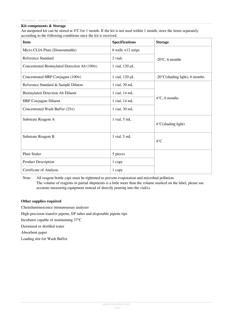#### **Kit components & Storage**

An unopened kit can be stored at 4℃ for 1 month. If the kit is not used within 1 month, store the items separately according to the following conditions once the kit is received.

| <b>Item</b>                                   | <b>Specifications</b>      | <b>Storage</b>                           |  |  |
|-----------------------------------------------|----------------------------|------------------------------------------|--|--|
| Micro CLIA Plate (Dismountable)               | 8 wells $\times$ 12 strips | $-20$ °C, 6 months                       |  |  |
| Reference Standard                            | 2 vials                    |                                          |  |  |
| Concentrated Biotinylated Detection Ab (100x) | 1 vial, 120 µL             |                                          |  |  |
| Concentrated HRP Conjugate (100×)             | 1 vial, 120 µL             | $-20^{\circ}$ C(shading light), 6 months |  |  |
| Reference Standard & Sample Diluent           | $1$ vial, $20$ mL          |                                          |  |  |
| <b>Biotinylated Detection Ab Diluent</b>      | 1 vial, 14 mL              |                                          |  |  |
| <b>HRP</b> Conjugate Diluent                  | 1 vial, 14 mL              | $4^{\circ}$ C, 6 months                  |  |  |
| Concentrated Wash Buffer (25×)                | $1$ vial, $30$ mL          |                                          |  |  |
| Substrate Reagent A                           | $1$ vial, $5$ mL           | $4^{\circ}$ C(shading light)             |  |  |
| Substrate Reagent B                           | $1$ vial, $5$ mL           | $4^{\circ}$ C                            |  |  |
| <b>Plate Sealer</b>                           | 5 pieces                   |                                          |  |  |
| <b>Product Description</b>                    | 1 copy                     |                                          |  |  |
| Certificate of Analysis                       | 1 copy                     |                                          |  |  |

Note: All reagent bottle caps must be tightened to prevent evaporation and microbial pollution. The volume of reagents in partial shipments is a little more than the volume marked on the label, please use accurate measuring equipment instead of directly pouring into the vial(s).

#### **Other supplies required**

Chemiluminescence immunoassay analyzer High-precision transfer pipette, EP tubes and disposable pipette tips Incubator capable of maintaining 37℃ Deionized or distilled water Absorbent paper Loading slot for Wash Buffer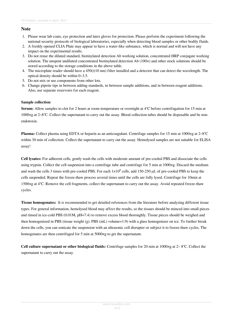# **Note**

- 1. Please wear lab coats, eye protection and latex gloves for protection. Please perform the experiment following the national security protocols of biological laboratories, especially when detecting blood samples or other bodily fluids.
- 2. A freshly opened CLIA Plate may appear to have a water-like substance, which is normal and will not have any impact on the experimental results.
- 3. Do not reuse the diluted standard, biotinylated detection Ab working solution, concentrated HRP conjugate working solution. The unspent undiluted concentrated biotinylated detection Ab (100×) and other stock solutions should be stored according to the storage conditions in the above table.
- 4. The microplate reader should have a  $450(\pm 10 \text{ nm})$  filter installed and a detector that can detect the wavelength. The optical density should be within 0~3.5.
- 5. Do not mix or use components from other lots.
- 6. Change pipette tips in between adding standards, in between sample additions, and in between reagent additions. Also, use separate reservoirs for each reagent.

# **Sample collection**

**Serum:** Allow samples to clot for 2 hours at room temperature or overnight at 4℃ before centrifugation for 15 min at 1000×g at 2~8℃. Collect the supernatant to carry out the assay. Blood collection tubes should be disposable and be nonendotoxin.

**Plasma:** Collect plasma using EDTA or heparin as an anticoagulant. Centrifuge samples for 15 min at 1000×g at 2~8°C within 30 min of collection. Collect the supernatant to carry out the assay. Hemolysed samples are not suitable for ELISA assay!

**Cell lysates:** For adherent cells, gently wash the cells with moderate amount of pre-cooled PBS and dissociate the cells using trypsin. Collect the cell suspension into a centrifuge tube and centrifuge for 5 min at 1000×g. Discard the medium and wash the cells 3 times with pre-cooled PBS. For each  $1 \times 10^6$  cells, add 150-250 µL of pre-cooled PBS to keep the cells suspended. Repeat the freeze-thaw process several times until the cells are fully lysed. Centrifuge for 10min at 1500×g at 4℃. Remove the cell fragments, collect the supernatant to carry out the assay. Avoid repeated freeze-thaw cycles.

**Tissue homogenates:** It is recommended to get detailed references from the literature before analyzing different tissue types. For general information, hemolysed blood may affect the results, so the tissues should be minced into small pieces and rinsed in ice-cold PBS (0.01M, pH=7.4) to remove excess blood thoroughly. Tissue pieces should be weighed and then homogenized in PBS (tissue weight (g): PBS (mL) volume=1:9) with a glass homogenizer on ice. To further break down the cells, you can sonicate the suspension with an ultrasonic cell disrupter or subject it to freeze-thaw cycles. The homogenates are then centrifuged for 5 min at 5000×g to get the supernatant.

**Cell culture supernatant or other biological fluids:** Centrifuge samples for 20 min at 1000×g at 2~ 8℃. Collect the supernatant to carry out the assay.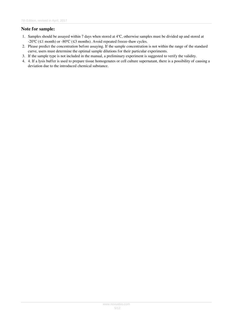# **Note for sample:**

- 1. Samples should be assayed within 7 days when stored at 4℃, otherwise samples must be divided up and stored at -20℃ (≤1 month) or -80℃ (≤3 months). Avoid repeated freeze-thaw cycles.
- 2. Please predict the concentration before assaying. If the sample concentration is not within the range of the standard curve, users must determine the optimal sample dilutions for their particular experiments.
- 3. If the sample type is not included in the manual, a preliminary experiment is suggested to verify the validity.
- 4. 4. If a lysis buffer is used to prepare tissue homogenates or cell culture supernatant, there is a possibility of causing a deviation due to the introduced chemical substance.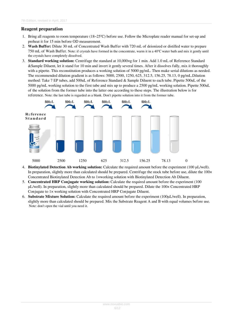# **Reagent preparation**

- 1. Bring all reagents to room temperature (18~25℃) before use. Follow the Microplate reader manual for set-up and preheat it for 15 min before OD measurement.
- 2. **Wash Buffer:** Dilute 30 mL of Concentrated Wash Buffer with 720 mL of deionized or distilled water to prepare 750 mL of Wash Buffer. Note: if crystals have formed in the concentrate, warm it in a 40℃ water bath and mix it gently until the crystals have completely dissolved.
- 3. **Standard working solution:** Centrifuge the standard at 10,000×g for 1 min. Add 1.0 mL of Reference Standard &Sample Diluent, let it stand for 10 min and invert it gently several times. After it dissolves fully, mix it thoroughly with a pipette. This reconstitution produces a working solution of 5000 pg/mL. Then make serial dilutions as needed. The recommended dilution gradient is as follows: 5000, 2500, 1250, 625, 312.5, 156.25, 78.13, 0 pg/mL.Dilution method: Take 7 EP tubes, add 500uL of Reference Standard & Sample Diluent to each tube. Pipette 500uL of the 5000 pg/mL working solution to the first tube and mix up to produce a 2500 pg/mL working solution. Pipette 500uL of the solution from the former tube into the latter one according to these steps. The illustration below is for reference. Note: the last tube is regarded as a blank. Don't pipette solution into it from the former tube.



- 4. **Biotinylated Detection Ab working solution:** Calculate the required amount before the experiment (100 μL/well). In preparation, slightly more than calculated should be prepared. Centrifuge the stock tube before use, dilute the  $100 \times$ Concentrated Biotinylated Detection Ab to 1×working solution with Biotinylated Detection Ab Diluent.
- 5. **Concentrated HRP Conjugate working solution:** Calculate the required amount before the experiment (100 μL/well). In preparation, slightly more than calculated should be prepared. Dilute the 100× Concentrated HRP Conjugate to 1× working solution with Concentrated HRP Conjugate Diluent.
- 6. **Substrate Mixture Solution:** Calculate the required amount before the experiment (100μL/well). In preparation, slightly more than calculated should be prepared. Mix the Substrate Reagent A and B with equal volumes before use. Note: don't open the vial until you need it.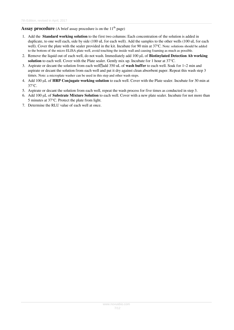# **Assay procedure** (A brief assay procedure is on the 11<sup>th</sup> page)

- 1. Add the **Standard working solution** to the first two columns: Each concentration of the solution is added in duplicate, to one well each, side by side (100 uL for each well). Add the samples to the other wells (100 uL for each well). Cover the plate with the sealer provided in the kit. Incubate for 90 min at 37℃. Note: solutions should be added to the bottom of the micro ELISA plate well, avoid touching the inside wall and causing foaming as much as possible.
- 2. Remove the liquid out of each well, do not wash. Immediately add 100 μL of **Biotinylated Detection Ab working solution** to each well. Cover with the Plate sealer. Gently mix up. Incubate for 1 hour at 37°C.
- 3. Aspirate or decant the solution from each well<sup>7</sup>add 350 uL of **wash buffer** to each well. Soak for  $1~2$  min and aspirate or decant the solution from each well and pat it dry against clean absorbent paper. Repeat this wash step 3 times. Note: a microplate washer can be used in this step and other wash steps.
- 4. Add 100 μL of **HRP Conjugate working solution** to each well. Cover with the Plate sealer. Incubate for 30 min at 37°C.
- 5. Aspirate or decant the solution from each well, repeat the wash process for five times as conducted in step 3.
- 6. Add 100 μL of **Substrate Mixture Solution** to each well. Cover with a new plate sealer. Incubate for not more than 5 minutes at 37°C. Protect the plate from light.
- 7. Determine the RLU value of each well at once.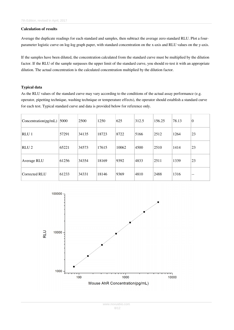#### **Calculation of results**

Average the duplicate readings for each standard and samples, then subtract the average zero standard RLU. Plot a fourparameter logistic curve on log-log graph paper, with standard concentration on the x-axis and RLU values on the y-axis.

If the samples have been diluted, the concentration calculated from the standard curve must be multiplied by the dilution factor. If the RLU of the sample surpasses the upper limit of the standard curve, you should re-test it with an appropriate dilution. The actual concentration is the calculated concentration multiplied by the dilution factor.

#### **Typical data**

As the RLU values of the standard curve may vary according to the conditions of the actual assay performance (e.g. operator, pipetting technique, washing technique or temperature effects), the operator should establish a standard curve for each test. Typical standard curve and data is provided below for reference only.

| Concentration(pg/mL) | 5000  | 2500  | 1250  | 625   | 312.5 | 156.25 | 78.13 | $\boldsymbol{0}$ |
|----------------------|-------|-------|-------|-------|-------|--------|-------|------------------|
| RLU <sub>1</sub>     | 57291 | 34135 | 18723 | 8722  | 5166  | 2512   | 1264  | 23               |
| RLU <sub>2</sub>     | 65221 | 34573 | 17615 | 10062 | 4500  | 2510   | 1414  | 23               |
| Average RLU          | 61256 | 34354 | 18169 | 9392  | 4833  | 2511   | 1339  | 23               |
| Corrected RLU        | 61233 | 34331 | 18146 | 9369  | 4810  | 2488   | 1316  | $- -$            |

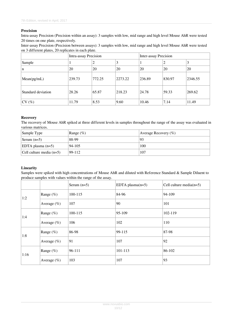## **Precision**

Intra-assay Precision (Precision within an assay): 3 samples with low, mid range and high level Mouse AhR were tested 20 times on one plate, respectively.

Inter-assay Precision (Precision between assays): 3 samples with low, mid range and high level Mouse AhR were tested on 3 different plates, 20 replicates in each plate.

|                    | Intra-assay Precision |        |         | <b>Inter-assay Precision</b> |           |         |
|--------------------|-----------------------|--------|---------|------------------------------|-----------|---------|
| Sample             |                       | 2      | 3       |                              | 2         | 3       |
| n                  | 20                    | 20     | 20      | 20                           | <b>20</b> | 20      |
| Mean(pg/mL)        | 239.73                | 772.25 | 2273.22 | 236.89                       | 830.97    | 2346.55 |
| Standard deviation | 28.26                 | 65.87  | 218.23  | 24.78                        | 59.33     | 269.62  |
| CV(%)              | 11.79                 | 8.53   | 9.60    | 10.46                        | 7.14      | 11.49   |

#### **Recovery**

The recovery of Mouse AhR spiked at three different levels in samples throughout the range of the assay was evaluated in various matrices.

| Sample Type                | Range $(\%)$ | Average Recovery $(\% )$ |
|----------------------------|--------------|--------------------------|
| Serum $(n=5)$              | 88-99        | 93                       |
| $ EDTA$ plasma $(n=5)$     | 94-105       | 100                      |
| Cell culture media $(n=5)$ | $99 - 112$   | 107                      |

#### **Linearity**

Samples were spiked with high concentrations of Mouse AhR and diluted with Reference Standard & Sample Diluent to produce samples with values within the range of the assay.

|      |                | Serum $(n=5)$ | EDTA plasma $(n=5)$ | Cell culture media $(n=5)$ |
|------|----------------|---------------|---------------------|----------------------------|
| 1:2  | Range $(\%)$   | 100-115       | 84-96               | 94-109                     |
|      | Average $(\%)$ | 107           | 90                  | 101                        |
| 1:4  | Range $(\%)$   | 100-115       | 95-109              | 102-119                    |
|      | Average $(\%)$ | 106           | 102                 | 110                        |
| 1:8  | Range $(\%)$   | 86-98         | 99-115              | 87-98                      |
|      | Average $(\%)$ | 91            | 107                 | 92                         |
| 1:16 | Range $(\%)$   | 96-111        | 101-113             | 86-102                     |
|      | Average $(\%)$ | 103           | 107                 | 93                         |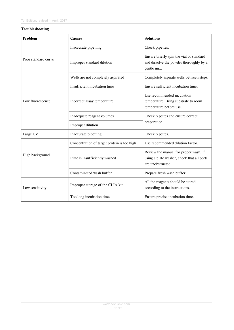## **Troubleshooting**

| <b>Problem</b>      | <b>Causes</b>                                                                  | <b>Solutions</b>                                                                                         |  |  |
|---------------------|--------------------------------------------------------------------------------|----------------------------------------------------------------------------------------------------------|--|--|
|                     | Inaccurate pipetting                                                           | Check pipettes.                                                                                          |  |  |
| Poor standard curve | Improper standard dilution                                                     | Ensure briefly spin the vial of standard<br>and dissolve the powder thoroughly by a<br>gentle mix.       |  |  |
|                     | Wells are not completely aspirated<br>Completely aspirate wells between steps. |                                                                                                          |  |  |
|                     | Insufficient incubation time                                                   | Ensure sufficient incubation time.                                                                       |  |  |
| Low fluorescence    | Incorrect assay temperature                                                    | Use recommended incubation<br>temperature. Bring substrate to room<br>temperature before use.            |  |  |
|                     | Inadequate reagent volumes                                                     | Check pipettes and ensure correct<br>preparation.                                                        |  |  |
|                     | Improper dilution                                                              |                                                                                                          |  |  |
| Large CV            | Inaccurate pipetting                                                           | Check pipettes.                                                                                          |  |  |
|                     | Concentration of target protein is too high                                    | Use recommended dilution factor.                                                                         |  |  |
| High background     | Plate is insufficiently washed                                                 | Review the manual for proper wash. If<br>using a plate washer, check that all ports<br>are unobstructed. |  |  |
|                     | Contaminated wash buffer                                                       | Prepare fresh wash buffer.                                                                               |  |  |
| Low sensitivity     | Improper storage of the CLIA kit                                               | All the reagents should be stored<br>according to the instructions.                                      |  |  |
|                     | Too long incubation time                                                       | Ensure precise incubation time.                                                                          |  |  |